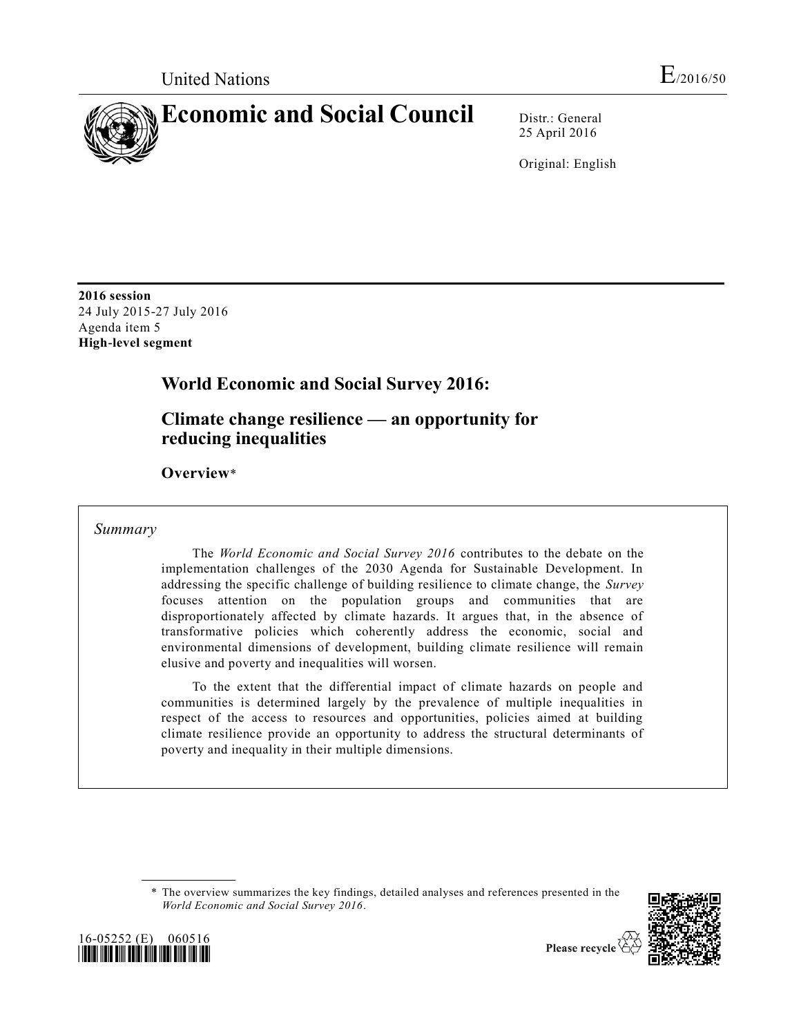

25 April 2016

Original: English

**2016 session** 24 July 2015-27 July 2016 Agenda item 5 **High-level segment**

# **World Economic and Social Survey 2016:**

**Climate change resilience — an opportunity for reducing inequalities** 

**Overview**\*

### *Summary*

The *World Economic and Social Survey 2016* contributes to the debate on the implementation challenges of the 2030 Agenda for Sustainable Development. In addressing the specific challenge of building resilience to climate change, the *Survey* focuses attention on the population groups and communities that are disproportionately affected by climate hazards. It argues that, in the absence of transformative policies which coherently address the economic, social and environmental dimensions of development, building climate resilience will remain elusive and poverty and inequalities will worsen.

To the extent that the differential impact of climate hazards on people and communities is determined largely by the prevalence of multiple inequalities in respect of the access to resources and opportunities, policies aimed at building climate resilience provide an opportunity to address the structural determinants of poverty and inequality in their multiple dimensions.

<sup>\*</sup> The overview summarizes the key findings, detailed analyses and references presented in the *World Economic and Social Survey 2016*.



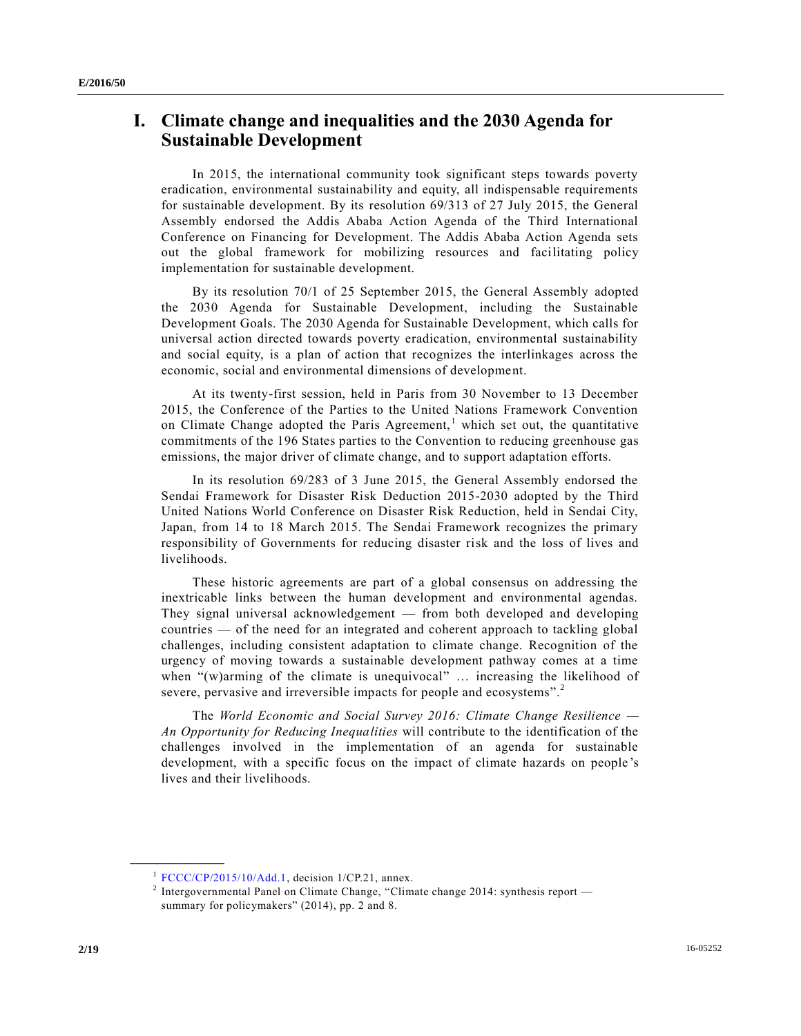## **I. Climate change and inequalities and the 2030 Agenda for Sustainable Development**

In 2015, the international community took significant steps towards poverty eradication, environmental sustainability and equity, all indispensable requirements for sustainable development. By its resolution 69/313 of 27 July 2015, the General Assembly endorsed the Addis Ababa Action Agenda of the Third International Conference on Financing for Development. The Addis Ababa Action Agenda sets out the global framework for mobilizing resources and facilitating policy implementation for sustainable development.

By its resolution 70/1 of 25 September 2015, the General Assembly adopted the 2030 Agenda for Sustainable Development, including the Sustainable Development Goals. The 2030 Agenda for Sustainable Development, which calls for universal action directed towards poverty eradication, environmental sustainability and social equity, is a plan of action that recognizes the interlinkages across the economic, social and environmental dimensions of development.

At its twenty-first session, held in Paris from 30 November to 13 December 2015, the Conference of the Parties to the United Nations Framework Convention on Climate Change adopted the Paris Agreement,<sup>1</sup> which set out, the quantitative commitments of the 196 States parties to the Convention to reducing greenhouse gas emissions, the major driver of climate change, and to support adaptation efforts.

In its resolution 69/283 of 3 June 2015, the General Assembly endorsed the Sendai Framework for Disaster Risk Deduction 2015-2030 adopted by the Third United Nations World Conference on Disaster Risk Reduction, held in Sendai City, Japan, from 14 to 18 March 2015. The Sendai Framework recognizes the primary responsibility of Governments for reducing disaster risk and the loss of lives and livelihoods.

These historic agreements are part of a global consensus on addressing the inextricable links between the human development and environmental agendas. They signal universal acknowledgement — from both developed and developing countries — of the need for an integrated and coherent approach to tackling global challenges, including consistent adaptation to climate change. Recognition of the urgency of moving towards a sustainable development pathway comes at a time when "(w)arming of the climate is unequivocal" ... increasing the likelihood of severe, pervasive and irreversible impacts for people and ecosystems".<sup>2</sup>

The *World Economic and Social Survey 2016: Climate Change Resilience — An Opportunity for Reducing Inequalities* will contribute to the identification of the challenges involved in the implementation of an agenda for sustainable development, with a specific focus on the impact of climate hazards on people 's lives and their livelihoods.

<sup>&</sup>lt;sup>1</sup> [FCCC/CP/2015/10/Add.1,](http://undocs.org/FCCC/CP/2015/10/Add.1) decision 1/CP.21, annex.

<sup>&</sup>lt;sup>2</sup> Intergovernmental Panel on Climate Change, "Climate change 2014: synthesis report  $$ summary for policymakers" (2014), pp. 2 and 8.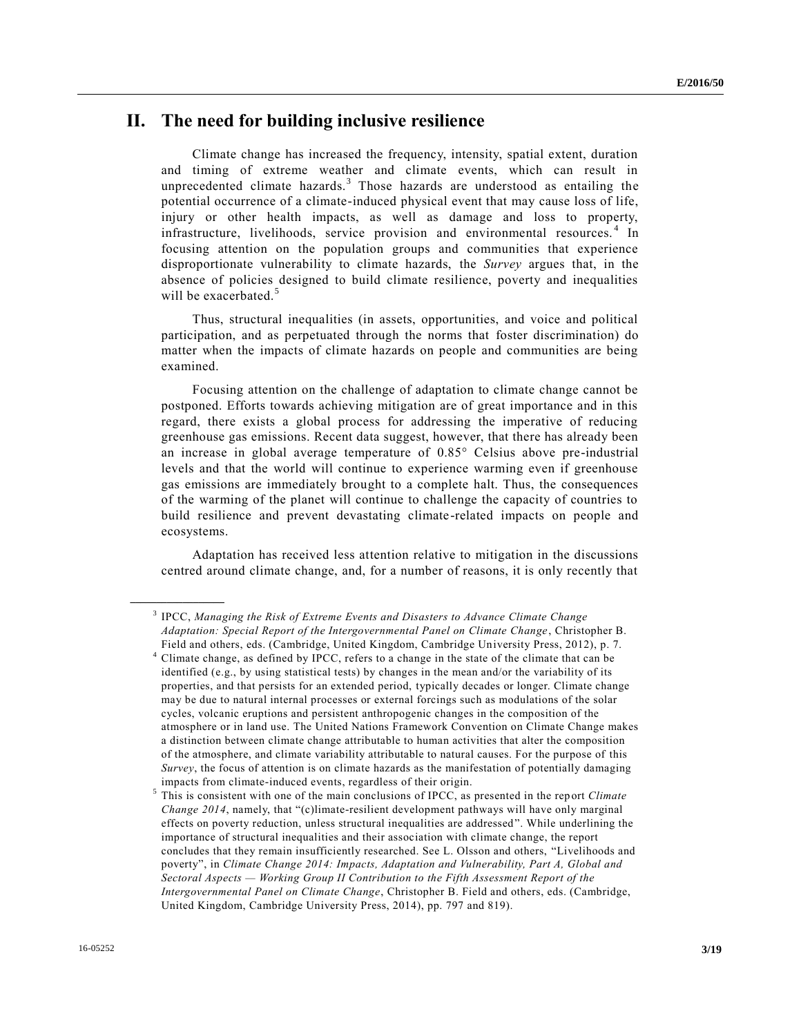### **II. The need for building inclusive resilience**

Climate change has increased the frequency, intensity, spatial extent, duration and timing of extreme weather and climate events, which can result in unprecedented climate hazards.<sup>3</sup> Those hazards are understood as entailing the potential occurrence of a climate-induced physical event that may cause loss of life, injury or other health impacts, as well as damage and loss to property, infrastructure, livelihoods, service provision and environmental resources.<sup>4</sup> In focusing attention on the population groups and communities that experience disproportionate vulnerability to climate hazards, the *Survey* argues that, in the absence of policies designed to build climate resilience, poverty and inequalities will be exacerbated.<sup>5</sup>

Thus, structural inequalities (in assets, opportunities, and voice and political participation, and as perpetuated through the norms that foster discrimination) do matter when the impacts of climate hazards on people and communities are being examined.

Focusing attention on the challenge of adaptation to climate change cannot be postponed. Efforts towards achieving mitigation are of great importance and in this regard, there exists a global process for addressing the imperative of reducing greenhouse gas emissions. Recent data suggest, however, that there has already been an increase in global average temperature of 0.85° Celsius above pre-industrial levels and that the world will continue to experience warming even if greenhouse gas emissions are immediately brought to a complete halt. Thus, the consequences of the warming of the planet will continue to challenge the capacity of countries to build resilience and prevent devastating climate-related impacts on people and ecosystems.

Adaptation has received less attention relative to mitigation in the discussions centred around climate change, and, for a number of reasons, it is only recently that

<sup>3</sup> IPCC, *Managing the Risk of Extreme Events and Disasters to Advance Climate Change Adaptation: Special Report of the Intergovernmental Panel on Climate Change* , Christopher B. Field and others, eds. (Cambridge, United Kingdom, Cambridge University Press, 2012), p. 7.

<sup>&</sup>lt;sup>4</sup> Climate change, as defined by IPCC, refers to a change in the state of the climate that can be identified (e.g., by using statistical tests) by changes in the mean and/or the variability of its properties, and that persists for an extended period, typically decades or longer. Climate change may be due to natural internal processes or external forcings such as modulations of the solar cycles, volcanic eruptions and persistent anthropogenic changes in the composition of the atmosphere or in land use. The United Nations Framework Convention on Climate Change makes a distinction between climate change attributable to human activities that alter the composition of the atmosphere, and climate variability attributable to natural causes. For the purpose of this *Survey*, the focus of attention is on climate hazards as the manifestation of potentially damaging impacts from climate-induced events, regardless of their origin.

<sup>5</sup> This is consistent with one of the main conclusions of IPCC, as presented in the rep ort *Climate Change 2014*, namely, that "(c)limate-resilient development pathways will have only marginal effects on poverty reduction, unless structural inequalities are addressed". While underlining the importance of structural inequalities and their association with climate change, the report concludes that they remain insufficiently researched. See L. Olsson and others, "Livelihoods and poverty", in *Climate Change 2014: Impacts, Adaptation and Vulnerability, Part A, Global and Sectoral Aspects — Working Group II Contribution to the Fifth Assessment Report of the Intergovernmental Panel on Climate Change*, Christopher B. Field and others, eds. (Cambridge, United Kingdom, Cambridge University Press, 2014), pp. 797 and 819).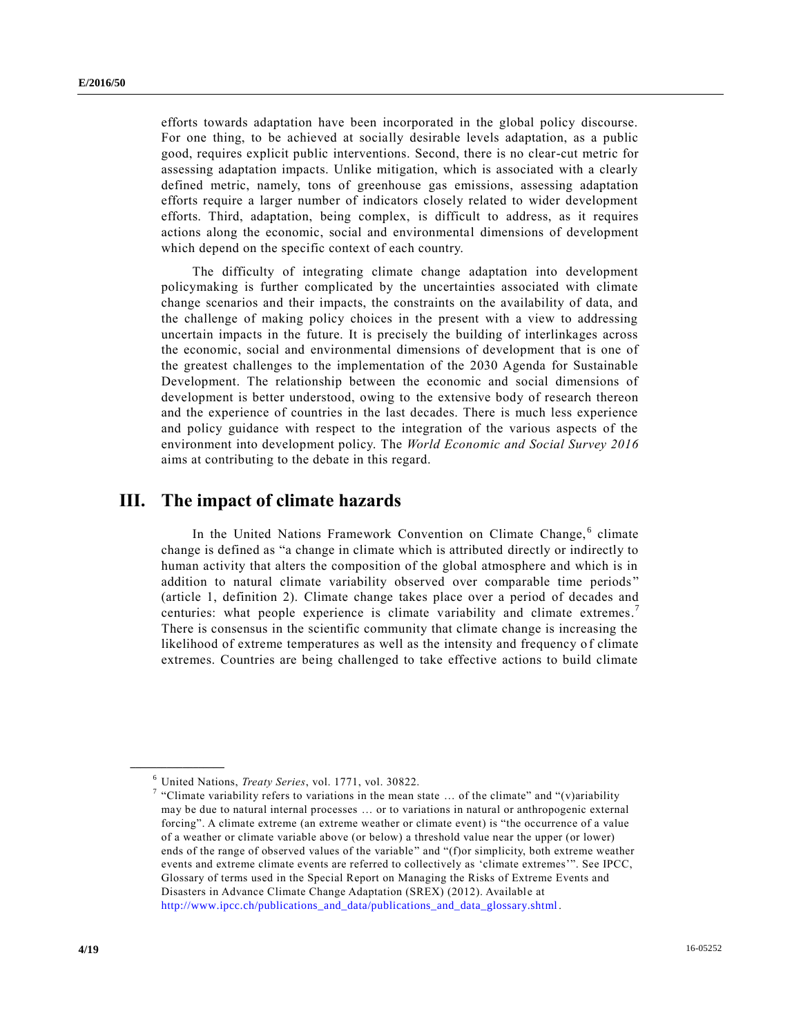efforts towards adaptation have been incorporated in the global policy discourse. For one thing, to be achieved at socially desirable levels adaptation, as a public good, requires explicit public interventions. Second, there is no clear-cut metric for assessing adaptation impacts. Unlike mitigation, which is associated with a clearly defined metric, namely, tons of greenhouse gas emissions, assessing adaptation efforts require a larger number of indicators closely related to wider development efforts. Third, adaptation, being complex, is difficult to address, as it requires actions along the economic, social and environmental dimensions of development which depend on the specific context of each country.

The difficulty of integrating climate change adaptation into development policymaking is further complicated by the uncertainties associated with climate change scenarios and their impacts, the constraints on the availability of data, and the challenge of making policy choices in the present with a view to addressing uncertain impacts in the future. It is precisely the building of interlinkages across the economic, social and environmental dimensions of development that is one of the greatest challenges to the implementation of the 2030 Agenda for Sustainable Development. The relationship between the economic and social dimensions of development is better understood, owing to the extensive body of research thereon and the experience of countries in the last decades. There is much less experience and policy guidance with respect to the integration of the various aspects of the environment into development policy. The *World Economic and Social Survey 2016* aims at contributing to the debate in this regard.

### **III. The impact of climate hazards**

In the United Nations Framework Convention on Climate Change,<sup>6</sup> climate change is defined as "a change in climate which is attributed directly or indirectly to human activity that alters the composition of the global atmosphere and which is in addition to natural climate variability observed over comparable time periods " (article 1, definition 2). Climate change takes place over a period of decades and centuries: what people experience is climate variability and climate extremes.<sup>7</sup> There is consensus in the scientific community that climate change is increasing the likelihood of extreme temperatures as well as the intensity and frequency o f climate extremes. Countries are being challenged to take effective actions to build climate

<sup>6</sup> United Nations, *Treaty Series*, vol. 1771, vol. 30822.

<sup>&</sup>lt;sup>7</sup> "Climate variability refers to variations in the mean state ... of the climate" and "(v)ariability may be due to natural internal processes … or to variations in natural or anthropogenic external forcing". A climate extreme (an extreme weather or climate event) is "the occurrence of a value of a weather or climate variable above (or below) a threshold value near the upper (or lower) ends of the range of observed values of the variable" and "(f)or simplicity, both extreme weather events and extreme climate events are referred to collectively as 'climate extremes'". See IPCC, Glossary of terms used in the Special Report on Managing the Risks of Extreme Events and Disasters in Advance Climate Change Adaptation (SREX) (2012). Available at [http://www.ipcc.ch/publications\\_and\\_data/publications\\_and\\_data\\_glossary.shtml](http://www.ipcc.ch/publications_and_data/publications_and_data_glossary.shtml) .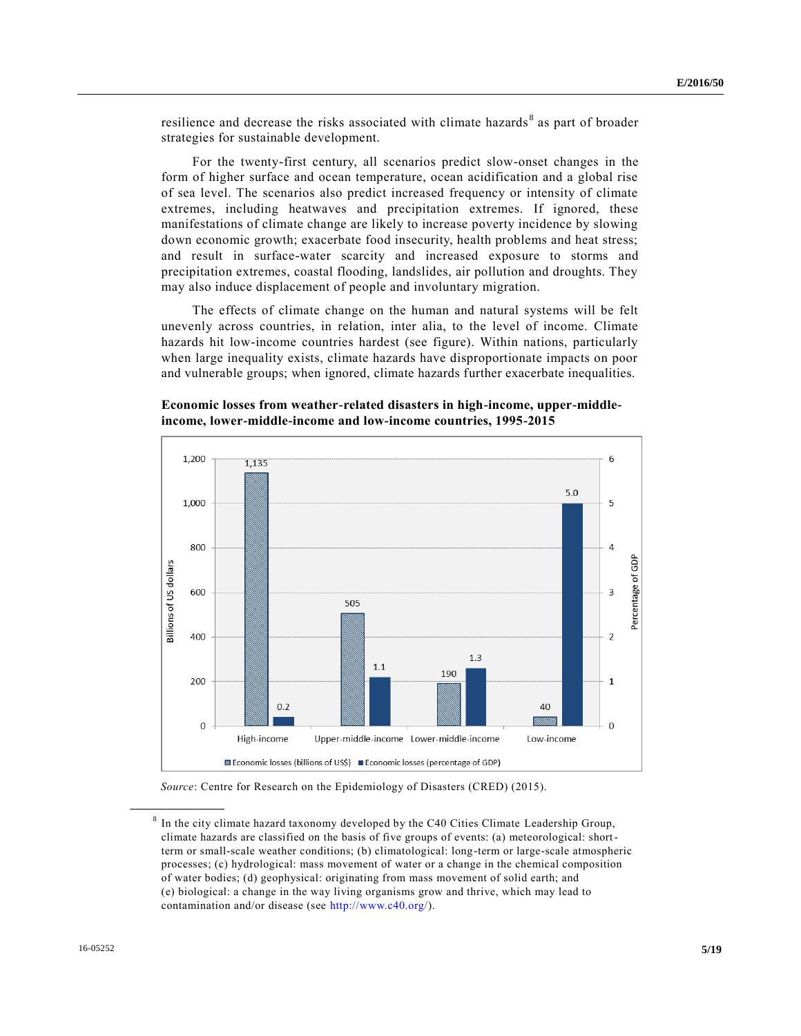resilience and decrease the risks associated with climate hazards<sup>8</sup> as part of broader strategies for sustainable development.

For the twenty-first century, all scenarios predict slow-onset changes in the form of higher surface and ocean temperature, ocean acidification and a global rise of sea level. The scenarios also predict increased frequency or intensity of climate extremes, including heatwaves and precipitation extremes. If ignored, these manifestations of climate change are likely to increase poverty incidence by slowing down economic growth; exacerbate food insecurity, health problems and heat stress; and result in surface-water scarcity and increased exposure to storms and precipitation extremes, coastal flooding, landslides, air pollution and droughts. They may also induce displacement of people and involuntary migration.

The effects of climate change on the human and natural systems will be felt unevenly across countries, in relation, inter alia, to the level of income. Climate hazards hit low-income countries hardest (see figure). Within nations, particularly when large inequality exists, climate hazards have disproportionate impacts on poor and vulnerable groups; when ignored, climate hazards further exacerbate inequalities.



**Economic losses from weather-related disasters in high-income, upper-middleincome, lower-middle-income and low-income countries, 1995-2015**

*Source*: Centre for Research on the Epidemiology of Disasters (CRED) (2015).

 $8$  In the city climate hazard taxonomy developed by the C40 Cities Climate Leadership Group, climate hazards are classified on the basis of five groups of events: (a) meteorological: shortterm or small-scale weather conditions; (b) climatological: long-term or large-scale atmospheric processes; (c) hydrological: mass movement of water or a change in the chemical composition of water bodies; (d) geophysical: originating from mass movement of solid earth; and (e) biological: a change in the way living organisms grow and thrive, which may lead to contamination and/or disease (see [http://www.c40.org/\)](http://www.c40.org/).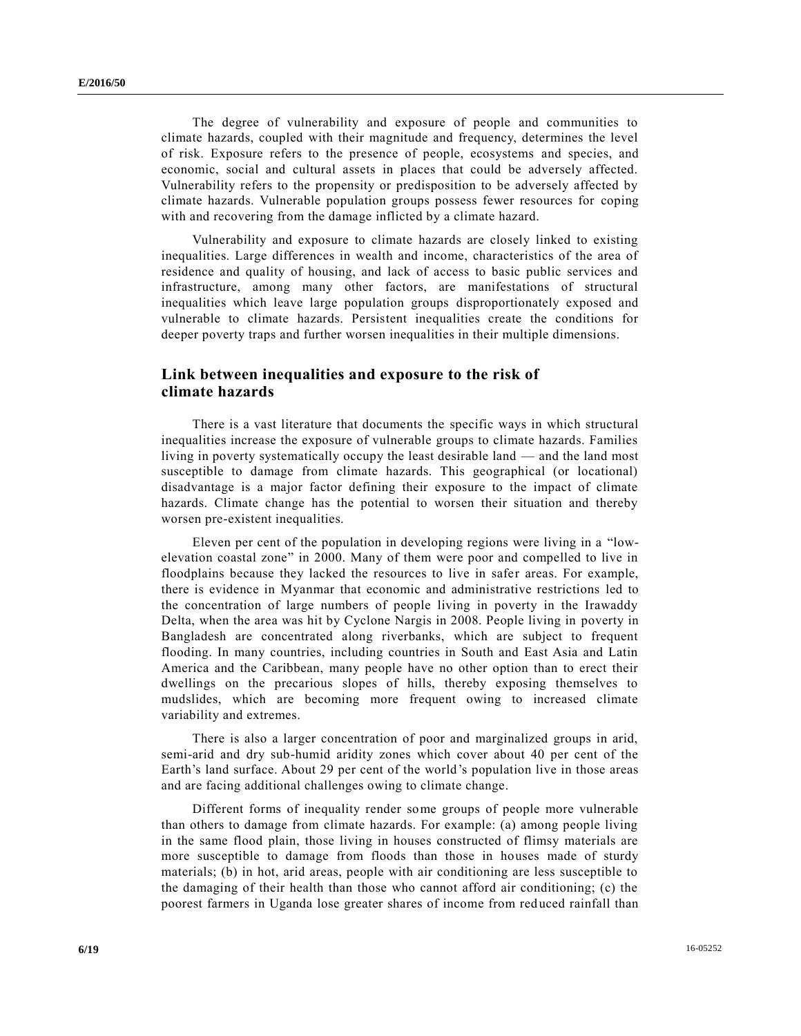The degree of vulnerability and exposure of people and communities to climate hazards, coupled with their magnitude and frequency, determines the level of risk. Exposure refers to the presence of people, ecosystems and species, and economic, social and cultural assets in places that could be adversely affected. Vulnerability refers to the propensity or predisposition to be adversely affected by climate hazards. Vulnerable population groups possess fewer resources for coping with and recovering from the damage inflicted by a climate hazard.

Vulnerability and exposure to climate hazards are closely linked to existing inequalities. Large differences in wealth and income, characteristics of the area of residence and quality of housing, and lack of access to basic public services and infrastructure, among many other factors, are manifestations of structural inequalities which leave large population groups disproportionately exposed and vulnerable to climate hazards. Persistent inequalities create the conditions for deeper poverty traps and further worsen inequalities in their multiple dimensions.

### **Link between inequalities and exposure to the risk of climate hazards**

There is a vast literature that documents the specific ways in which structural inequalities increase the exposure of vulnerable groups to climate hazards. Families living in poverty systematically occupy the least desirable land — and the land most susceptible to damage from climate hazards. This geographical (or locational) disadvantage is a major factor defining their exposure to the impact of climate hazards. Climate change has the potential to worsen their situation and thereby worsen pre-existent inequalities.

Eleven per cent of the population in developing regions were living in a "lowelevation coastal zone" in 2000. Many of them were poor and compelled to live in floodplains because they lacked the resources to live in safer areas. For example, there is evidence in Myanmar that economic and administrative restrictions led to the concentration of large numbers of people living in poverty in the Irawaddy Delta, when the area was hit by Cyclone Nargis in 2008. People living in poverty in Bangladesh are concentrated along riverbanks, which are subject to frequent flooding. In many countries, including countries in South and East Asia and Latin America and the Caribbean, many people have no other option than to erect their dwellings on the precarious slopes of hills, thereby exposing themselves to mudslides, which are becoming more frequent owing to increased climate variability and extremes.

There is also a larger concentration of poor and marginalized groups in arid, semi-arid and dry sub-humid aridity zones which cover about 40 per cent of the Earth's land surface. About 29 per cent of the world's population live in those areas and are facing additional challenges owing to climate change.

Different forms of inequality render some groups of people more vulnerable than others to damage from climate hazards. For example: (a) among people living in the same flood plain, those living in houses constructed of flimsy materials are more susceptible to damage from floods than those in houses made of sturdy materials; (b) in hot, arid areas, people with air conditioning are less susceptible to the damaging of their health than those who cannot afford air conditioning; (c) the poorest farmers in Uganda lose greater shares of income from reduced rainfall than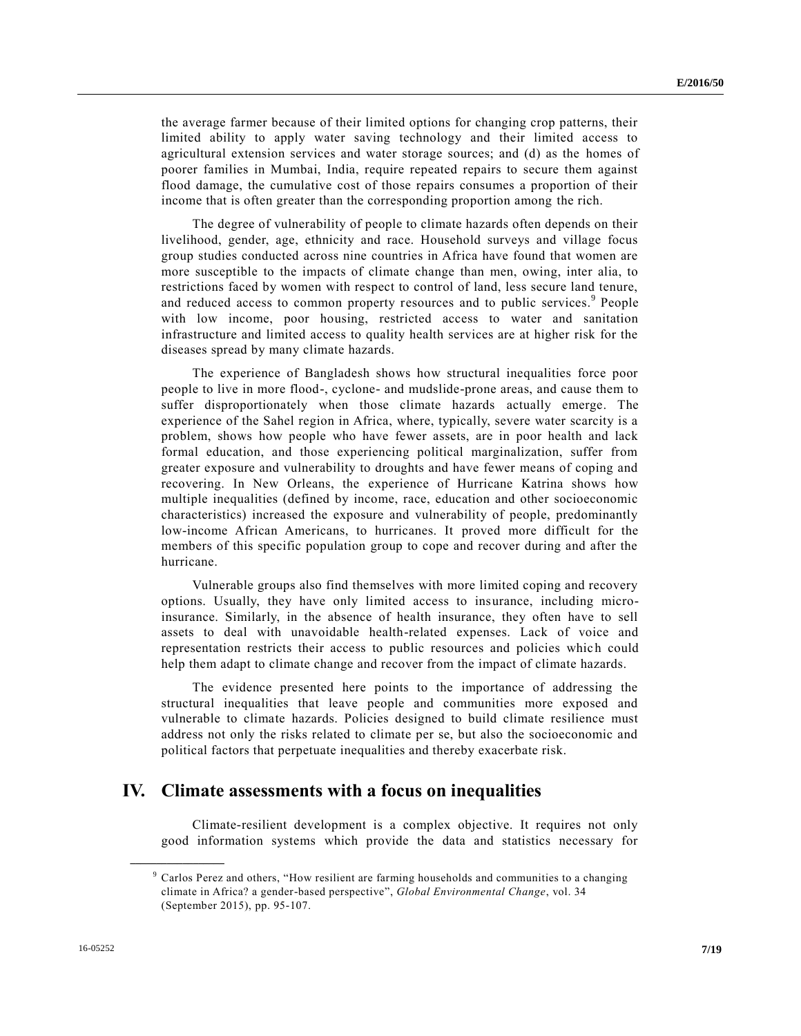the average farmer because of their limited options for changing crop patterns, their limited ability to apply water saving technology and their limited access to agricultural extension services and water storage sources; and (d) as the homes of poorer families in Mumbai, India, require repeated repairs to secure them against flood damage, the cumulative cost of those repairs consumes a proportion of their income that is often greater than the corresponding proportion among the rich.

The degree of vulnerability of people to climate hazards often depends on their livelihood, gender, age, ethnicity and race. Household surveys and village focus group studies conducted across nine countries in Africa have found that women are more susceptible to the impacts of climate change than men, owing, inter alia, to restrictions faced by women with respect to control of land, less secure land tenure, and reduced access to common property resources and to public services.<sup>9</sup> People with low income, poor housing, restricted access to water and sanitation infrastructure and limited access to quality health services are at higher risk for the diseases spread by many climate hazards.

The experience of Bangladesh shows how structural inequalities force poor people to live in more flood-, cyclone- and mudslide-prone areas, and cause them to suffer disproportionately when those climate hazards actually emerge. The experience of the Sahel region in Africa, where, typically, severe water scarcity is a problem, shows how people who have fewer assets, are in poor health and lack formal education, and those experiencing political marginalization, suffer from greater exposure and vulnerability to droughts and have fewer means of coping and recovering. In New Orleans, the experience of Hurricane Katrina shows how multiple inequalities (defined by income, race, education and other socioeconomic characteristics) increased the exposure and vulnerability of people, predominantly low-income African Americans, to hurricanes. It proved more difficult for the members of this specific population group to cope and recover during and after the hurricane.

Vulnerable groups also find themselves with more limited coping and recovery options. Usually, they have only limited access to insurance, including microinsurance. Similarly, in the absence of health insurance, they often have to sell assets to deal with unavoidable health-related expenses. Lack of voice and representation restricts their access to public resources and policies which could help them adapt to climate change and recover from the impact of climate hazards.

The evidence presented here points to the importance of addressing the structural inequalities that leave people and communities more exposed and vulnerable to climate hazards. Policies designed to build climate resilience must address not only the risks related to climate per se, but also the socioeconomic and political factors that perpetuate inequalities and thereby exacerbate risk.

### **IV. Climate assessments with a focus on inequalities**

Climate-resilient development is a complex objective. It requires not only good information systems which provide the data and statistics necessary for

<sup>9</sup> Carlos Perez and others, "How resilient are farming households and communities to a changing climate in Africa? a gender-based perspective", *Global Environmental Change*, vol. 34 (September 2015), pp. 95-107.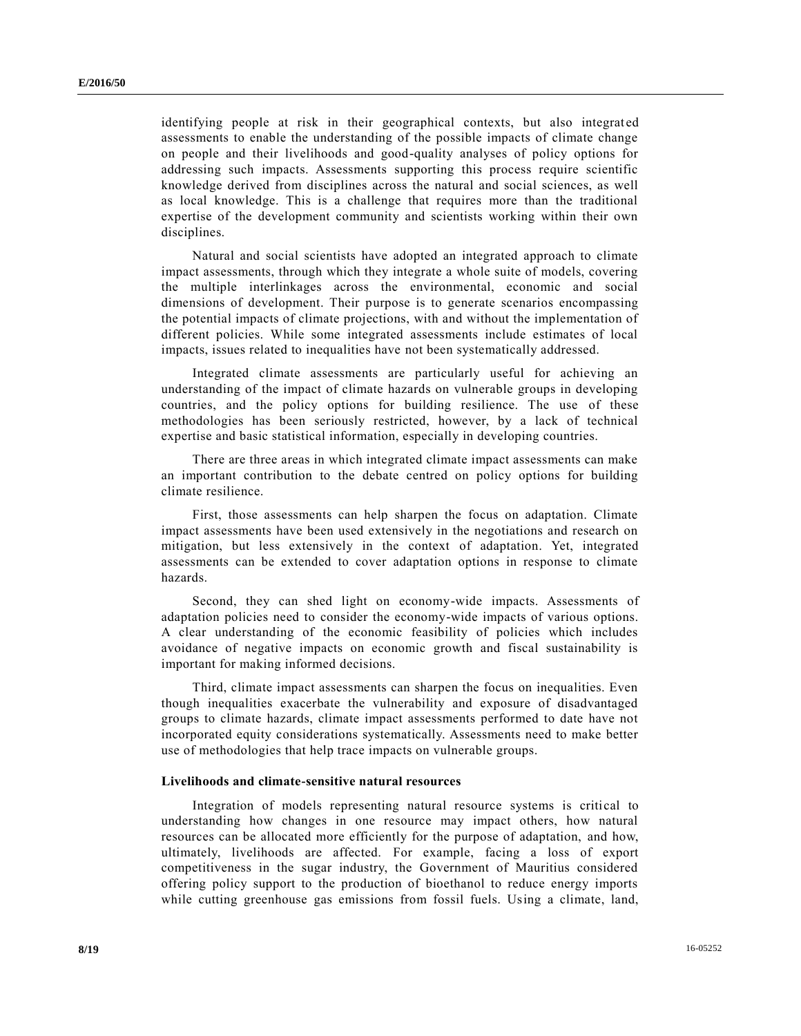identifying people at risk in their geographical contexts, but also integrated assessments to enable the understanding of the possible impacts of climate change on people and their livelihoods and good-quality analyses of policy options for addressing such impacts. Assessments supporting this process require scientific knowledge derived from disciplines across the natural and social sciences, as well as local knowledge. This is a challenge that requires more than the traditional expertise of the development community and scientists working within their own disciplines.

Natural and social scientists have adopted an integrated approach to climate impact assessments, through which they integrate a whole suite of models, covering the multiple interlinkages across the environmental, economic and social dimensions of development. Their purpose is to generate scenarios encompassing the potential impacts of climate projections, with and without the implementation of different policies. While some integrated assessments include estimates of local impacts, issues related to inequalities have not been systematically addressed.

Integrated climate assessments are particularly useful for achieving an understanding of the impact of climate hazards on vulnerable groups in developing countries, and the policy options for building resilience. The use of these methodologies has been seriously restricted, however, by a lack of technical expertise and basic statistical information, especially in developing countries.

There are three areas in which integrated climate impact assessments can make an important contribution to the debate centred on policy options for building climate resilience.

First, those assessments can help sharpen the focus on adaptation. Climate impact assessments have been used extensively in the negotiations and research on mitigation, but less extensively in the context of adaptation. Yet, integrated assessments can be extended to cover adaptation options in response to climate hazards.

Second, they can shed light on economy-wide impacts. Assessments of adaptation policies need to consider the economy-wide impacts of various options. A clear understanding of the economic feasibility of policies which includes avoidance of negative impacts on economic growth and fiscal sustainability is important for making informed decisions.

Third, climate impact assessments can sharpen the focus on inequalities. Even though inequalities exacerbate the vulnerability and exposure of disadvantaged groups to climate hazards, climate impact assessments performed to date have not incorporated equity considerations systematically. Assessments need to make better use of methodologies that help trace impacts on vulnerable groups.

#### **Livelihoods and climate-sensitive natural resources**

Integration of models representing natural resource systems is critical to understanding how changes in one resource may impact others, how natural resources can be allocated more efficiently for the purpose of adaptation, and how, ultimately, livelihoods are affected. For example, facing a loss of export competitiveness in the sugar industry, the Government of Mauritius considered offering policy support to the production of bioethanol to reduce energy imports while cutting greenhouse gas emissions from fossil fuels. Using a climate, land,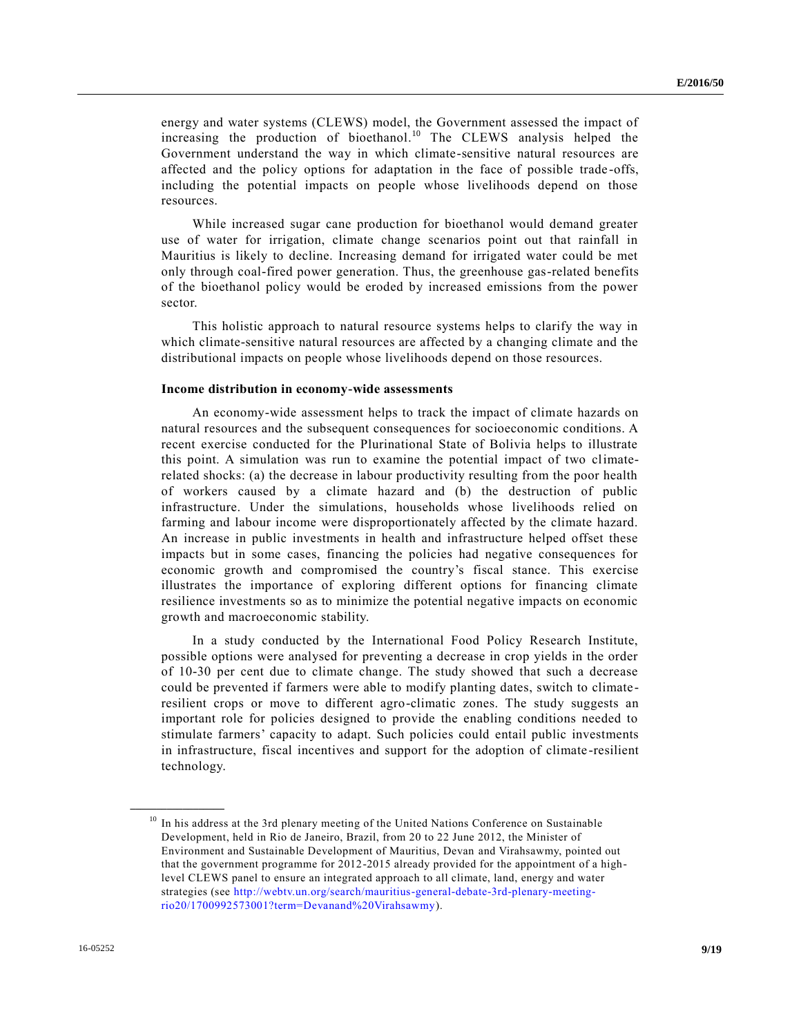energy and water systems (CLEWS) model, the Government assessed the impact of increasing the production of bioethanol. <sup>10</sup> The CLEWS analysis helped the Government understand the way in which climate-sensitive natural resources are affected and the policy options for adaptation in the face of possible trade -offs, including the potential impacts on people whose livelihoods depend on those resources.

While increased sugar cane production for bioethanol would demand greater use of water for irrigation, climate change scenarios point out that rainfall in Mauritius is likely to decline. Increasing demand for irrigated water could be met only through coal-fired power generation. Thus, the greenhouse gas-related benefits of the bioethanol policy would be eroded by increased emissions from the power sector.

This holistic approach to natural resource systems helps to clarify the way in which climate-sensitive natural resources are affected by a changing climate and the distributional impacts on people whose livelihoods depend on those resources.

#### **Income distribution in economy-wide assessments**

An economy-wide assessment helps to track the impact of climate hazards on natural resources and the subsequent consequences for socioeconomic conditions. A recent exercise conducted for the Plurinational State of Bolivia helps to illustrate this point. A simulation was run to examine the potential impact of two climaterelated shocks: (a) the decrease in labour productivity resulting from the poor health of workers caused by a climate hazard and (b) the destruction of public infrastructure. Under the simulations, households whose livelihoods relied on farming and labour income were disproportionately affected by the climate hazard. An increase in public investments in health and infrastructure helped offset these impacts but in some cases, financing the policies had negative consequences for economic growth and compromised the country's fiscal stance. This exercise illustrates the importance of exploring different options for financing climate resilience investments so as to minimize the potential negative impacts on economic growth and macroeconomic stability.

In a study conducted by the International Food Policy Research Institute, possible options were analysed for preventing a decrease in crop yields in the order of 10-30 per cent due to climate change. The study showed that such a decrease could be prevented if farmers were able to modify planting dates, switch to climateresilient crops or move to different agro-climatic zones. The study suggests an important role for policies designed to provide the enabling conditions needed to stimulate farmers' capacity to adapt. Such policies could entail public investments in infrastructure, fiscal incentives and support for the adoption of climate -resilient technology.

<sup>&</sup>lt;sup>10</sup> In his address at the 3rd plenary meeting of the United Nations Conference on Sustainable Development, held in Rio de Janeiro, Brazil, from 20 to 22 June 2012, the Minister of Environment and Sustainable Development of Mauritius, Devan and Virahsawmy, pointed out that the government programme for 2012-2015 already provided for the appointment of a highlevel CLEWS panel to ensure an integrated approach to all climate, land, energy and water strategies (see [http://webtv.un.org/search/mauritius-general-debate-3rd-plenary-meeting](http://webtv.un.org/search/mauritius-general-debate-3rd-plenary-meeting-rio20/1700992573001?term=Devanand%2520Virahsawmy)[rio20/1700992573001?term=Devanand%20Virahsawmy\)](http://webtv.un.org/search/mauritius-general-debate-3rd-plenary-meeting-rio20/1700992573001?term=Devanand%2520Virahsawmy).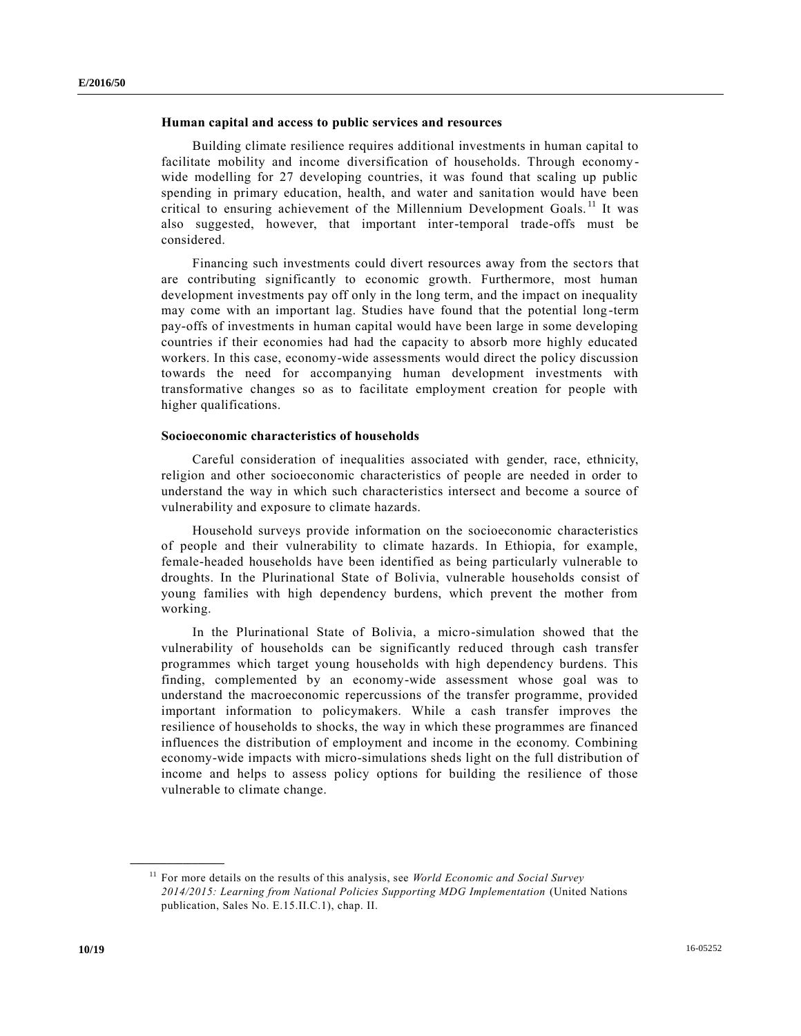#### **Human capital and access to public services and resources**

Building climate resilience requires additional investments in human capital to facilitate mobility and income diversification of households. Through economy wide modelling for 27 developing countries, it was found that scaling up public spending in primary education, health, and water and sanitation would have been critical to ensuring achievement of the Millennium Development Goals.<sup>11</sup> It was also suggested, however, that important inter-temporal trade-offs must be considered.

Financing such investments could divert resources away from the sectors that are contributing significantly to economic growth. Furthermore, most human development investments pay off only in the long term, and the impact on inequality may come with an important lag. Studies have found that the potential long -term pay-offs of investments in human capital would have been large in some developing countries if their economies had had the capacity to absorb more highly educated workers. In this case, economy-wide assessments would direct the policy discussion towards the need for accompanying human development investments with transformative changes so as to facilitate employment creation for people with higher qualifications.

#### **Socioeconomic characteristics of households**

Careful consideration of inequalities associated with gender, race, ethnicity, religion and other socioeconomic characteristics of people are needed in order to understand the way in which such characteristics intersect and become a source of vulnerability and exposure to climate hazards.

Household surveys provide information on the socioeconomic characteristics of people and their vulnerability to climate hazards. In Ethiopia, for example, female-headed households have been identified as being particularly vulnerable to droughts. In the Plurinational State of Bolivia, vulnerable households consist of young families with high dependency burdens, which prevent the mother from working.

In the Plurinational State of Bolivia, a micro-simulation showed that the vulnerability of households can be significantly reduced through cash transfer programmes which target young households with high dependency burdens. This finding, complemented by an economy-wide assessment whose goal was to understand the macroeconomic repercussions of the transfer programme, provided important information to policymakers. While a cash transfer improves the resilience of households to shocks, the way in which these programmes are financed influences the distribution of employment and income in the economy. Combining economy-wide impacts with micro-simulations sheds light on the full distribution of income and helps to assess policy options for building the resilience of those vulnerable to climate change.

<sup>&</sup>lt;sup>11</sup> For more details on the results of this analysis, see *World Economic and Social Survey 2014/2015: Learning from National Policies Supporting MDG Implementation* (United Nations publication, Sales No. E.15.II.C.1), chap. II.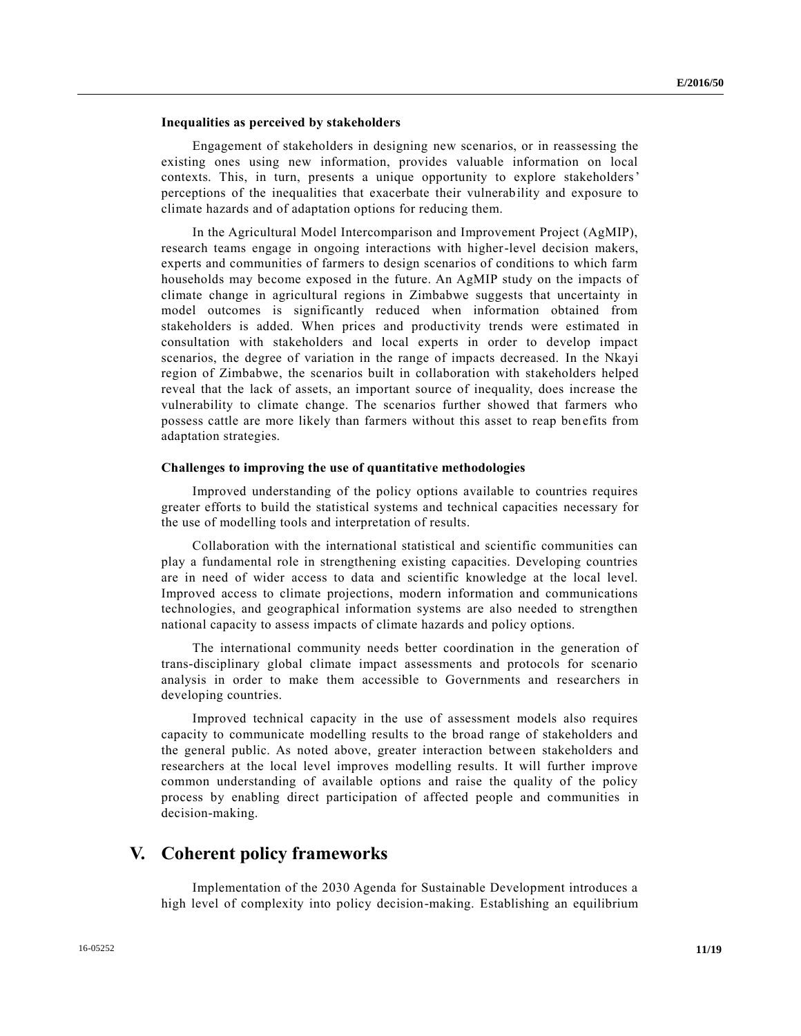#### **Inequalities as perceived by stakeholders**

Engagement of stakeholders in designing new scenarios, or in reassessing the existing ones using new information, provides valuable information on local contexts. This, in turn, presents a unique opportunity to explore stakeholders' perceptions of the inequalities that exacerbate their vulnerability and exposure to climate hazards and of adaptation options for reducing them.

In the Agricultural Model Intercomparison and Improvement Project (AgMIP), research teams engage in ongoing interactions with higher-level decision makers, experts and communities of farmers to design scenarios of conditions to which farm households may become exposed in the future. An AgMIP study on the impacts of climate change in agricultural regions in Zimbabwe suggests that uncertainty in model outcomes is significantly reduced when information obtained from stakeholders is added. When prices and productivity trends were estimated in consultation with stakeholders and local experts in order to develop impact scenarios, the degree of variation in the range of impacts decreased. In the Nkayi region of Zimbabwe, the scenarios built in collaboration with stakeholders helped reveal that the lack of assets, an important source of inequality, does increase the vulnerability to climate change. The scenarios further showed that farmers who possess cattle are more likely than farmers without this asset to reap benefits from adaptation strategies.

#### **Challenges to improving the use of quantitative methodologies**

Improved understanding of the policy options available to countries requires greater efforts to build the statistical systems and technical capacities necessary for the use of modelling tools and interpretation of results.

Collaboration with the international statistical and scientific communities can play a fundamental role in strengthening existing capacities. Developing countries are in need of wider access to data and scientific knowledge at the local level. Improved access to climate projections, modern information and communications technologies, and geographical information systems are also needed to strengthen national capacity to assess impacts of climate hazards and policy options.

The international community needs better coordination in the generation of trans-disciplinary global climate impact assessments and protocols for scenario analysis in order to make them accessible to Governments and researchers in developing countries.

Improved technical capacity in the use of assessment models also requires capacity to communicate modelling results to the broad range of stakeholders and the general public. As noted above, greater interaction between stakeholders and researchers at the local level improves modelling results. It will further improve common understanding of available options and raise the quality of the policy process by enabling direct participation of affected people and communities in decision-making.

### **V. Coherent policy frameworks**

Implementation of the 2030 Agenda for Sustainable Development introduces a high level of complexity into policy decision-making. Establishing an equilibrium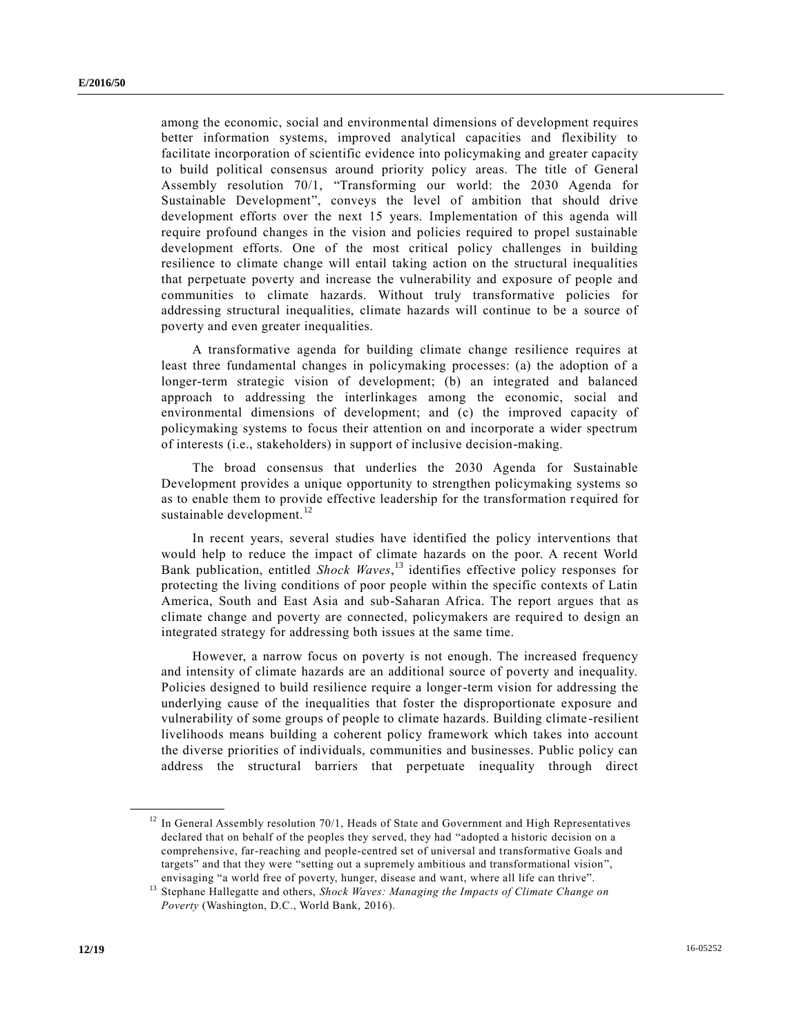among the economic, social and environmental dimensions of development requires better information systems, improved analytical capacities and flexibility to facilitate incorporation of scientific evidence into policymaking and greater capacity to build political consensus around priority policy areas. The title of General Assembly resolution 70/1, "Transforming our world: the 2030 Agenda for Sustainable Development", conveys the level of ambition that should drive development efforts over the next 15 years. Implementation of this agenda will require profound changes in the vision and policies required to propel sustainable development efforts. One of the most critical policy challenges in building resilience to climate change will entail taking action on the structural inequalities that perpetuate poverty and increase the vulnerability and exposure of people and communities to climate hazards. Without truly transformative policies for addressing structural inequalities, climate hazards will continue to be a source of poverty and even greater inequalities.

A transformative agenda for building climate change resilience requires at least three fundamental changes in policymaking processes: (a) the adoption of a longer-term strategic vision of development; (b) an integrated and balanced approach to addressing the interlinkages among the economic, social and environmental dimensions of development; and (c) the improved capacity of policymaking systems to focus their attention on and incorporate a wider spectrum of interests (i.e., stakeholders) in support of inclusive decision-making.

The broad consensus that underlies the 2030 Agenda for Sustainable Development provides a unique opportunity to strengthen policymaking systems so as to enable them to provide effective leadership for the transformation r equired for sustainable development. $12$ 

In recent years, several studies have identified the policy interventions that would help to reduce the impact of climate hazards on the poor. A recent World Bank publication, entitled *Shock Waves*, <sup>13</sup> identifies effective policy responses for protecting the living conditions of poor people within the specific contexts of Latin America, South and East Asia and sub-Saharan Africa. The report argues that as climate change and poverty are connected, policymakers are required to design an integrated strategy for addressing both issues at the same time.

However, a narrow focus on poverty is not enough. The increased frequency and intensity of climate hazards are an additional source of poverty and inequality. Policies designed to build resilience require a longer-term vision for addressing the underlying cause of the inequalities that foster the disproportionate exposure and vulnerability of some groups of people to climate hazards. Building climate -resilient livelihoods means building a coherent policy framework which takes into account the diverse priorities of individuals, communities and businesses. Public policy can address the structural barriers that perpetuate inequality through direct

 $12$  In General Assembly resolution 70/1, Heads of State and Government and High Representatives declared that on behalf of the peoples they served, they had "adopted a historic decision on a comprehensive, far-reaching and people-centred set of universal and transformative Goals and targets" and that they were "setting out a supremely ambitious and transformational vision", envisaging "a world free of poverty, hunger, disease and want, where all life can thrive".

<sup>13</sup> Stephane Hallegatte and others, *Shock Waves: Managing the Impacts of Climate Change on Poverty* (Washington, D.C., World Bank, 2016).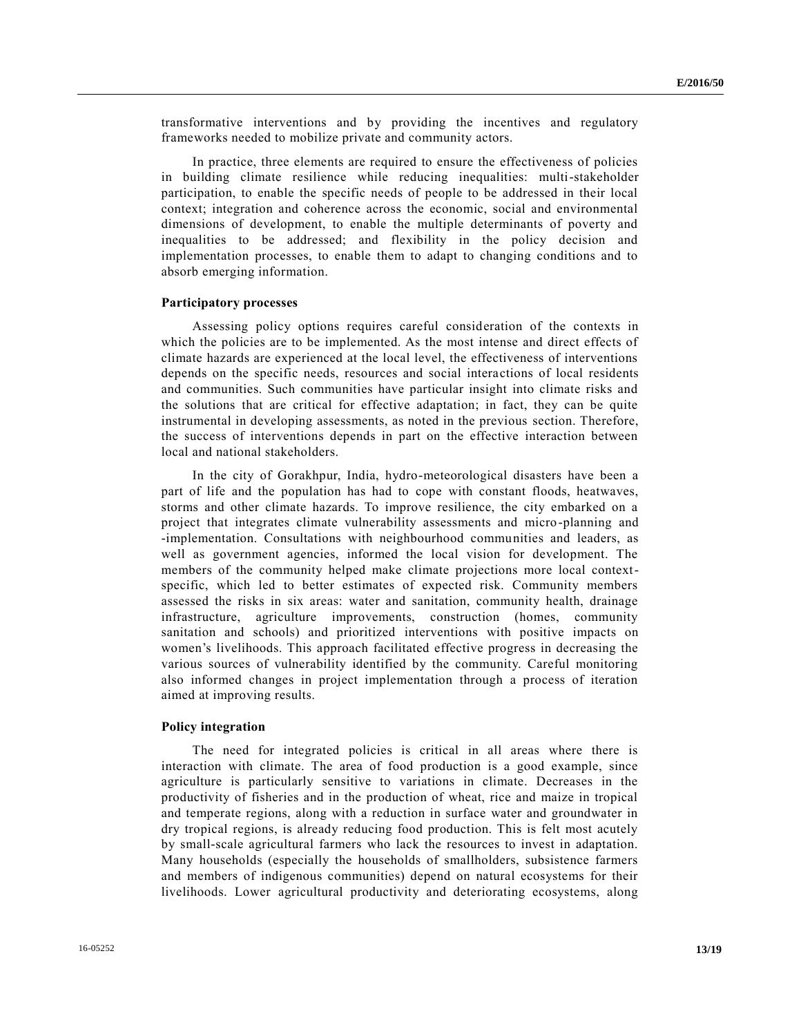transformative interventions and by providing the incentives and regulatory frameworks needed to mobilize private and community actors.

In practice, three elements are required to ensure the effectiveness of policies in building climate resilience while reducing inequalities: multi-stakeholder participation, to enable the specific needs of people to be addressed in their local context; integration and coherence across the economic, social and environmental dimensions of development, to enable the multiple determinants of poverty and inequalities to be addressed; and flexibility in the policy decision and implementation processes, to enable them to adapt to changing conditions and to absorb emerging information.

#### **Participatory processes**

Assessing policy options requires careful consideration of the contexts in which the policies are to be implemented. As the most intense and direct effects of climate hazards are experienced at the local level, the effectiveness of interventions depends on the specific needs, resources and social interactions of local residents and communities. Such communities have particular insight into climate risks and the solutions that are critical for effective adaptation; in fact, they can be quite instrumental in developing assessments, as noted in the previous section. Therefore, the success of interventions depends in part on the effective interaction between local and national stakeholders.

In the city of Gorakhpur, India, hydro-meteorological disasters have been a part of life and the population has had to cope with constant floods, heatwaves, storms and other climate hazards. To improve resilience, the city embarked on a project that integrates climate vulnerability assessments and micro-planning and -implementation. Consultations with neighbourhood communities and leaders, as well as government agencies, informed the local vision for development. The members of the community helped make climate projections more local contextspecific, which led to better estimates of expected risk. Community members assessed the risks in six areas: water and sanitation, community health, drainage infrastructure, agriculture improvements, construction (homes, community sanitation and schools) and prioritized interventions with positive impacts on women's livelihoods. This approach facilitated effective progress in decreasing the various sources of vulnerability identified by the community. Careful monitoring also informed changes in project implementation through a process of iteration aimed at improving results.

#### **Policy integration**

The need for integrated policies is critical in all areas where there is interaction with climate. The area of food production is a good example, since agriculture is particularly sensitive to variations in climate. Decreases in the productivity of fisheries and in the production of wheat, rice and maize in tropical and temperate regions, along with a reduction in surface water and groundwater in dry tropical regions, is already reducing food production. This is felt most acutely by small-scale agricultural farmers who lack the resources to invest in adaptation. Many households (especially the households of smallholders, subsistence farmers and members of indigenous communities) depend on natural ecosystems for their livelihoods. Lower agricultural productivity and deteriorating ecosystems, along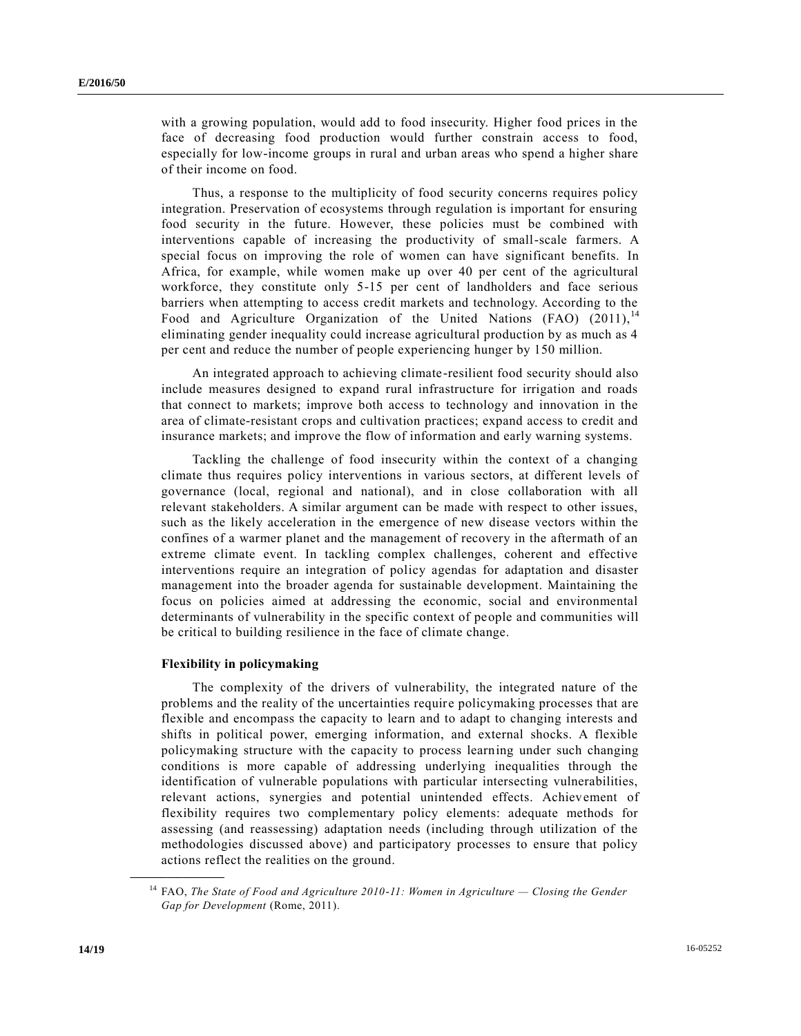with a growing population, would add to food insecurity. Higher food prices in the face of decreasing food production would further constrain access to food, especially for low-income groups in rural and urban areas who spend a higher share of their income on food.

Thus, a response to the multiplicity of food security concerns requires policy integration. Preservation of ecosystems through regulation is important for ensuring food security in the future. However, these policies must be combined with interventions capable of increasing the productivity of small-scale farmers. A special focus on improving the role of women can have significant benefits. In Africa, for example, while women make up over 40 per cent of the agricultural workforce, they constitute only 5-15 per cent of landholders and face serious barriers when attempting to access credit markets and technology. According to the Food and Agriculture Organization of the United Nations (FAO) (2011),<sup>14</sup> eliminating gender inequality could increase agricultural production by as much as 4 per cent and reduce the number of people experiencing hunger by 150 million.

An integrated approach to achieving climate-resilient food security should also include measures designed to expand rural infrastructure for irrigation and roads that connect to markets; improve both access to technology and innovation in the area of climate-resistant crops and cultivation practices; expand access to credit and insurance markets; and improve the flow of information and early warning systems.

Tackling the challenge of food insecurity within the context of a changing climate thus requires policy interventions in various sectors, at different levels of governance (local, regional and national), and in close collaboration with all relevant stakeholders. A similar argument can be made with respect to other issues, such as the likely acceleration in the emergence of new disease vectors within the confines of a warmer planet and the management of recovery in the aftermath of an extreme climate event. In tackling complex challenges, coherent and effective interventions require an integration of policy agendas for adaptation and disaster management into the broader agenda for sustainable development. Maintaining the focus on policies aimed at addressing the economic, social and environmental determinants of vulnerability in the specific context of people and communities will be critical to building resilience in the face of climate change.

#### **Flexibility in policymaking**

The complexity of the drivers of vulnerability, the integrated nature of the problems and the reality of the uncertainties require policymaking processes that are flexible and encompass the capacity to learn and to adapt to changing interests and shifts in political power, emerging information, and external shocks. A flexible policymaking structure with the capacity to process learning under such changing conditions is more capable of addressing underlying inequalities through the identification of vulnerable populations with particular intersecting vulnerabilities, relevant actions, synergies and potential unintended effects. Achievement of flexibility requires two complementary policy elements: adequate methods for assessing (and reassessing) adaptation needs (including through utilization of the methodologies discussed above) and participatory processes to ensure that policy actions reflect the realities on the ground.

<sup>14</sup> FAO, *The State of Food and Agriculture 2010-11: Women in Agriculture — Closing the Gender Gap for Development* (Rome, 2011).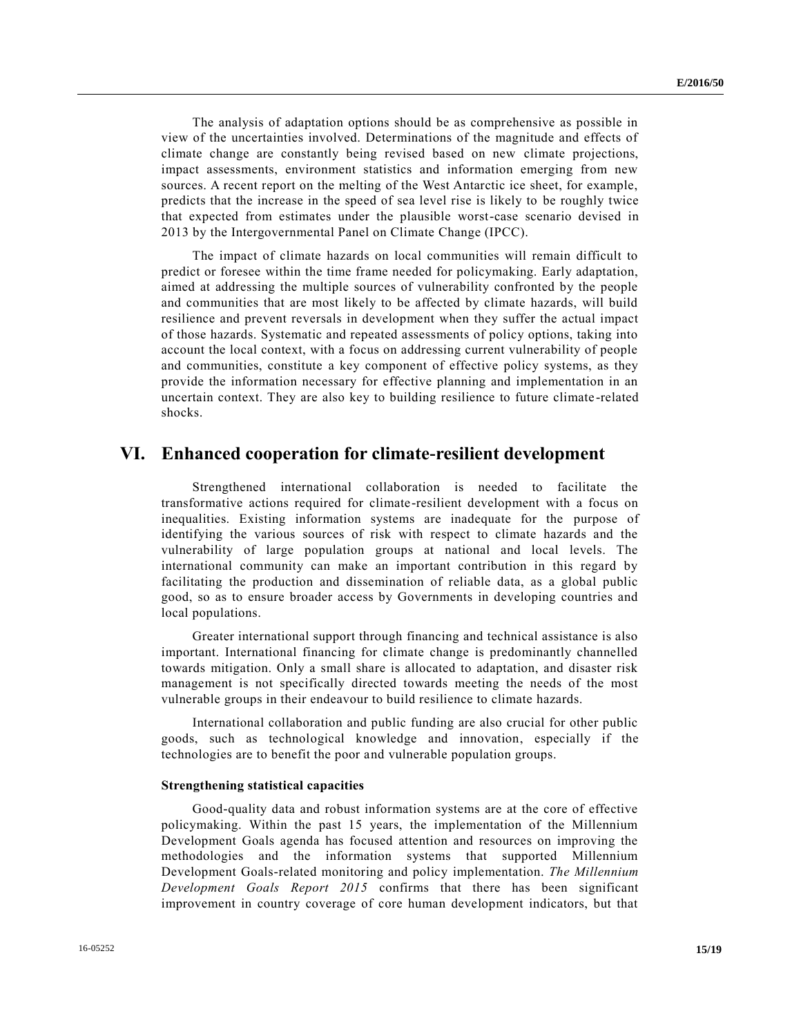The analysis of adaptation options should be as comprehensive as possible in view of the uncertainties involved. Determinations of the magnitude and effects of climate change are constantly being revised based on new climate projections, impact assessments, environment statistics and information emerging from new sources. A recent report on the melting of the West Antarctic ice sheet, for example, predicts that the increase in the speed of sea level rise is likely to be roughly twice that expected from estimates under the plausible worst-case scenario devised in 2013 by the Intergovernmental Panel on Climate Change (IPCC).

The impact of climate hazards on local communities will remain difficult to predict or foresee within the time frame needed for policymaking. Early adaptation, aimed at addressing the multiple sources of vulnerability confronted by the people and communities that are most likely to be affected by climate hazards, will build resilience and prevent reversals in development when they suffer the actual impact of those hazards. Systematic and repeated assessments of policy options, taking into account the local context, with a focus on addressing current vulnerability of people and communities, constitute a key component of effective policy systems, as they provide the information necessary for effective planning and implementation in an uncertain context. They are also key to building resilience to future climate -related shocks.

### **VI. Enhanced cooperation for climate-resilient development**

Strengthened international collaboration is needed to facilitate the transformative actions required for climate-resilient development with a focus on inequalities. Existing information systems are inadequate for the purpose of identifying the various sources of risk with respect to climate hazards and the vulnerability of large population groups at national and local levels. The international community can make an important contribution in this regard by facilitating the production and dissemination of reliable data, as a global public good, so as to ensure broader access by Governments in developing countries and local populations.

Greater international support through financing and technical assistance is also important. International financing for climate change is predominantly channelled towards mitigation. Only a small share is allocated to adaptation, and disaster risk management is not specifically directed towards meeting the needs of the most vulnerable groups in their endeavour to build resilience to climate hazards.

International collaboration and public funding are also crucial for other public goods, such as technological knowledge and innovation, especially if the technologies are to benefit the poor and vulnerable population groups.

#### **Strengthening statistical capacities**

Good-quality data and robust information systems are at the core of effective policymaking. Within the past 15 years, the implementation of the Millennium Development Goals agenda has focused attention and resources on improving the methodologies and the information systems that supported Millennium Development Goals-related monitoring and policy implementation. *The Millennium Development Goals Report 2015* confirms that there has been significant improvement in country coverage of core human development indicators, but that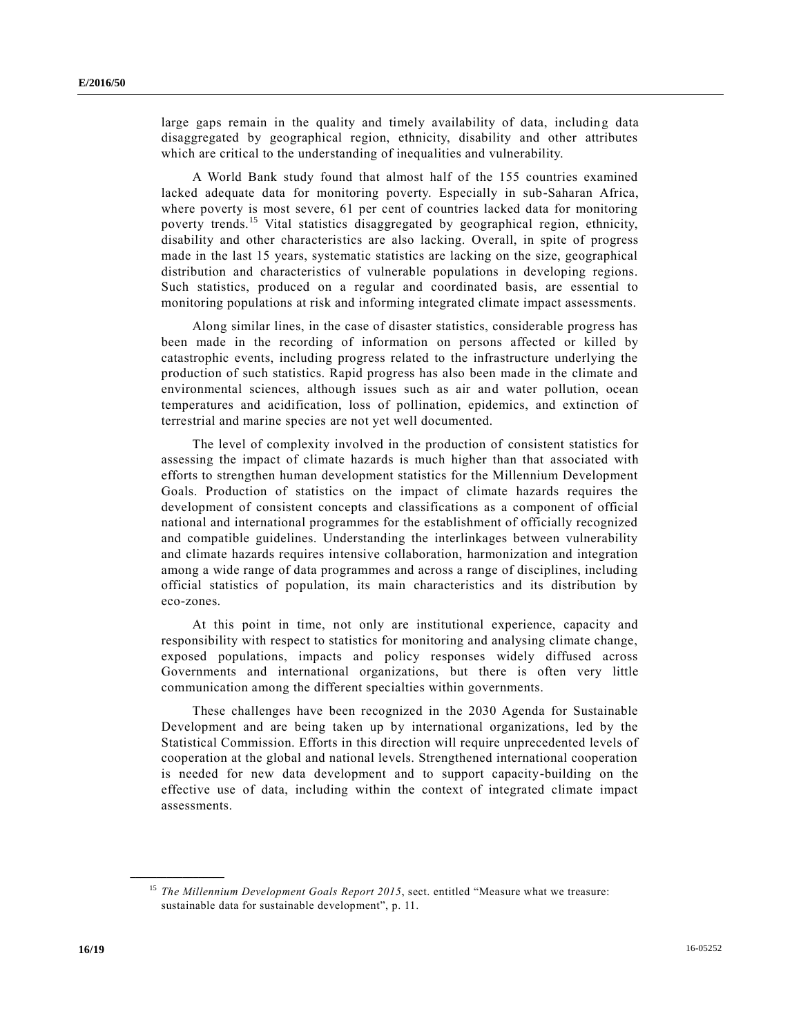large gaps remain in the quality and timely availability of data, including data disaggregated by geographical region, ethnicity, disability and other attributes which are critical to the understanding of inequalities and vulnerability.

A World Bank study found that almost half of the 155 countries examined lacked adequate data for monitoring poverty. Especially in sub-Saharan Africa, where poverty is most severe, 61 per cent of countries lacked data for monitoring poverty trends.<sup>15</sup> Vital statistics disaggregated by geographical region, ethnicity, disability and other characteristics are also lacking. Overall, in spite of progress made in the last 15 years, systematic statistics are lacking on the size, geographical distribution and characteristics of vulnerable populations in developing regions. Such statistics, produced on a regular and coordinated basis, are essential to monitoring populations at risk and informing integrated climate impact assessments.

Along similar lines, in the case of disaster statistics, considerable progress has been made in the recording of information on persons affected or killed by catastrophic events, including progress related to the infrastructure underlying the production of such statistics. Rapid progress has also been made in the climate and environmental sciences, although issues such as air and water pollution, ocean temperatures and acidification, loss of pollination, epidemics, and extinction of terrestrial and marine species are not yet well documented.

The level of complexity involved in the production of consistent statistics for assessing the impact of climate hazards is much higher than that associated with efforts to strengthen human development statistics for the Millennium Development Goals. Production of statistics on the impact of climate hazards requires the development of consistent concepts and classifications as a component of official national and international programmes for the establishment of officially recognized and compatible guidelines. Understanding the interlinkages between vulnerability and climate hazards requires intensive collaboration, harmonization and integration among a wide range of data programmes and across a range of disciplines, including official statistics of population, its main characteristics and its distribution by eco-zones.

At this point in time, not only are institutional experience, capacity and responsibility with respect to statistics for monitoring and analysing climate change, exposed populations, impacts and policy responses widely diffused across Governments and international organizations, but there is often very little communication among the different specialties within governments.

These challenges have been recognized in the 2030 Agenda for Sustainable Development and are being taken up by international organizations, led by the Statistical Commission. Efforts in this direction will require unprecedented levels of cooperation at the global and national levels. Strengthened international cooperation is needed for new data development and to support capacity-building on the effective use of data, including within the context of integrated climate impact assessments.

<sup>&</sup>lt;sup>15</sup> *The Millennium Development Goals Report 2015*, sect. entitled "Measure what we treasure: sustainable data for sustainable development", p. 11.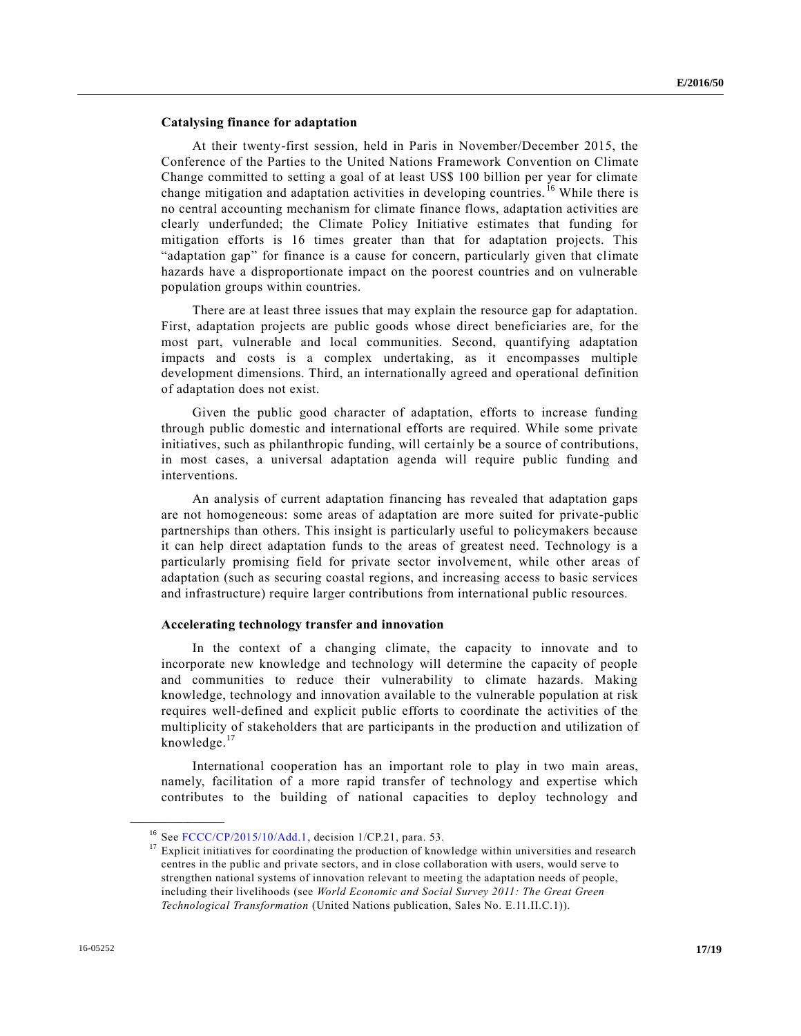#### **Catalysing finance for adaptation**

At their twenty-first session, held in Paris in November/December 2015, the Conference of the Parties to the United Nations Framework Convention on Climate Change committed to setting a goal of at least US\$ 100 billion per year for climate change mitigation and adaptation activities in developing countries. <sup>16</sup> While there is no central accounting mechanism for climate finance flows, adaptation activities are clearly underfunded; the Climate Policy Initiative estimates that funding for mitigation efforts is 16 times greater than that for adaptation projects. This "adaptation gap" for finance is a cause for concern, particularly given that climate hazards have a disproportionate impact on the poorest countries and on vulnerable population groups within countries.

There are at least three issues that may explain the resource gap for adaptation. First, adaptation projects are public goods whose direct beneficiaries are, for the most part, vulnerable and local communities. Second, quantifying adaptation impacts and costs is a complex undertaking, as it encompasses multiple development dimensions. Third, an internationally agreed and operational definition of adaptation does not exist.

Given the public good character of adaptation, efforts to increase funding through public domestic and international efforts are required. While some private initiatives, such as philanthropic funding, will certainly be a source of contributions, in most cases, a universal adaptation agenda will require public funding and interventions.

An analysis of current adaptation financing has revealed that adaptation gaps are not homogeneous: some areas of adaptation are more suited for private-public partnerships than others. This insight is particularly useful to policymakers because it can help direct adaptation funds to the areas of greatest need. Technology is a particularly promising field for private sector involvement, while other areas of adaptation (such as securing coastal regions, and increasing access to basic services and infrastructure) require larger contributions from international public resources.

#### **Accelerating technology transfer and innovation**

In the context of a changing climate, the capacity to innovate and to incorporate new knowledge and technology will determine the capacity of people and communities to reduce their vulnerability to climate hazards. Making knowledge, technology and innovation available to the vulnerable population at risk requires well-defined and explicit public efforts to coordinate the activities of the multiplicity of stakeholders that are participants in the production and utilization of knowledge.<sup>17</sup>

International cooperation has an important role to play in two main areas, namely, facilitation of a more rapid transfer of technology and expertise which contributes to the building of national capacities to deploy technology and

<sup>&</sup>lt;sup>16</sup> See [FCCC/CP/2015/10/Add.1,](http://undocs.org/FCCC/CP/2015/10/Add.1) decision 1/CP.21, para. 53.

 $17$  Explicit initiatives for coordinating the production of knowledge within universities and research centres in the public and private sectors, and in close collaboration with users, would serve to strengthen national systems of innovation relevant to meeting the adaptation needs of people, including their livelihoods (see *World Economic and Social Survey 2011: The Great Green Technological Transformation* (United Nations publication, Sales No. E.11.II.C.1)).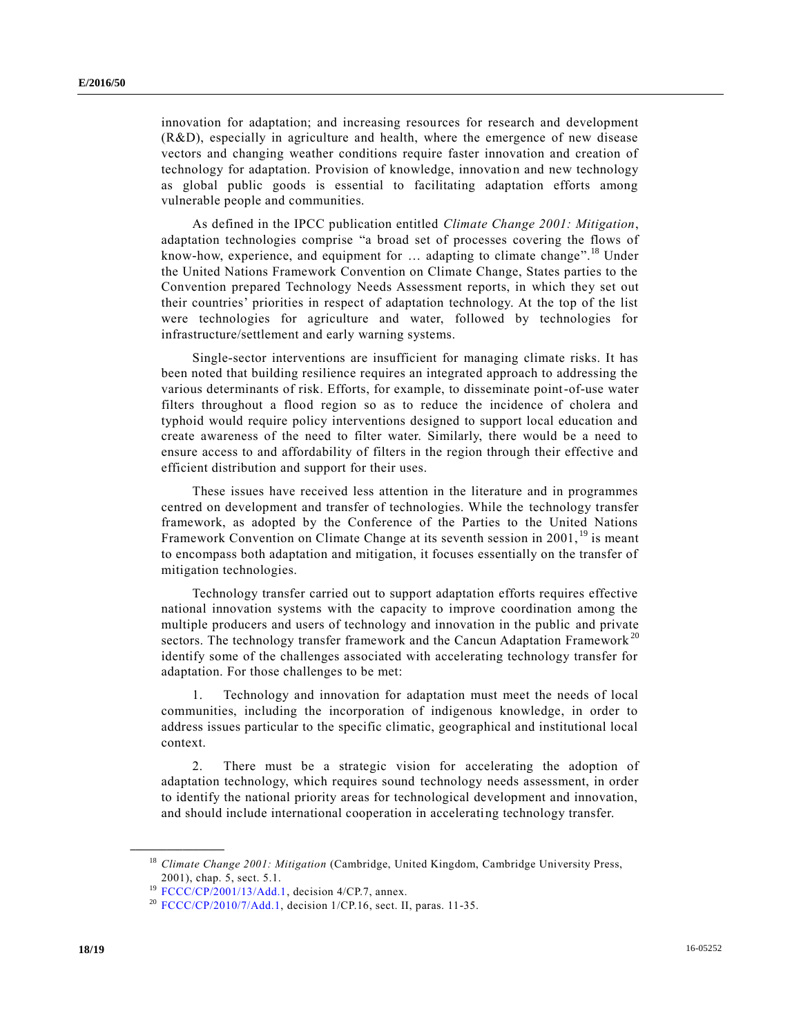innovation for adaptation; and increasing resources for research and development (R&D), especially in agriculture and health, where the emergence of new disease vectors and changing weather conditions require faster innovation and creation of technology for adaptation. Provision of knowledge, innovation and new technology as global public goods is essential to facilitating adaptation efforts among vulnerable people and communities.

As defined in the IPCC publication entitled *Climate Change 2001: Mitigation*, adaptation technologies comprise "a broad set of processes covering the flows of know-how, experience, and equipment for ... adapting to climate change".<sup>18</sup> Under the United Nations Framework Convention on Climate Change, States parties to the Convention prepared Technology Needs Assessment reports, in which they set out their countries' priorities in respect of adaptation technology. At the top of the list were technologies for agriculture and water, followed by technologies for infrastructure/settlement and early warning systems.

Single-sector interventions are insufficient for managing climate risks. It has been noted that building resilience requires an integrated approach to addressing the various determinants of risk. Efforts, for example, to disseminate point-of-use water filters throughout a flood region so as to reduce the incidence of cholera and typhoid would require policy interventions designed to support local education and create awareness of the need to filter water. Similarly, there would be a need to ensure access to and affordability of filters in the region through their effective and efficient distribution and support for their uses.

These issues have received less attention in the literature and in programmes centred on development and transfer of technologies. While the technology transfer framework, as adopted by the Conference of the Parties to the United Nations Framework Convention on Climate Change at its seventh session in 2001, <sup>19</sup> is meant to encompass both adaptation and mitigation, it focuses essentially on the transfer of mitigation technologies.

Technology transfer carried out to support adaptation efforts requires effective national innovation systems with the capacity to improve coordination among the multiple producers and users of technology and innovation in the public and private sectors. The technology transfer framework and the Cancun Adaptation Framework<sup>20</sup> identify some of the challenges associated with accelerating technology transfer for adaptation. For those challenges to be met:

1. Technology and innovation for adaptation must meet the needs of local communities, including the incorporation of indigenous knowledge, in order to address issues particular to the specific climatic, geographical and institutional local context.

2. There must be a strategic vision for accelerating the adoption of adaptation technology, which requires sound technology needs assessment, in order to identify the national priority areas for technological development and innovation, and should include international cooperation in accelerating technology transfer.

<sup>18</sup> *Climate Change 2001: Mitigation* (Cambridge, United Kingdom, Cambridge University Press, 2001), chap. 5, sect. 5.1.

<sup>&</sup>lt;sup>19</sup> [FCCC/CP/2001/13/Add.1,](http://undocs.org/FCCC/CP/2001/13/Add.1) decision 4/CP.7, annex.

 $20$  [FCCC/CP/2010/7/Add.1,](http://undocs.org/FCCC/CP/2010/7/Add.1) decision 1/CP.16, sect. II, paras. 11-35.